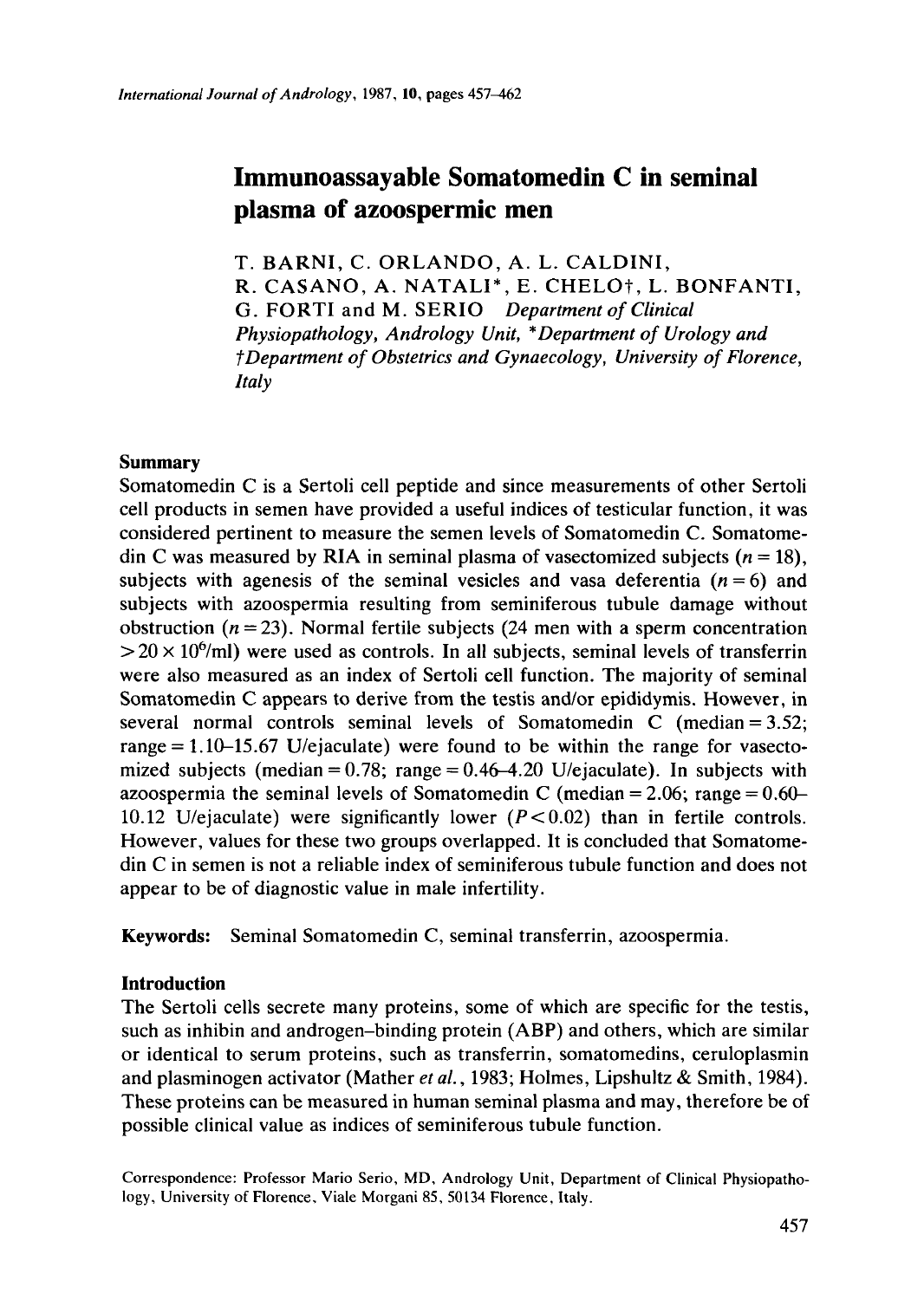# **Immunoassayable Somatomedin C in seminal plasma of azoospermic men**

T. BARNI, C. ORLANDO, A. L. CALDINI,

R. CASANO, A. NATALI\*, E. CHELO†, L. BONFANTI, G. FORTI and M. SERIO *Department* of *Clinical Physiopathology, Andrology Unit, \*Department* of *Urology and tDepartment* of *Obstetrics and Gynaecology, University* of *Florence, Italy* 

# **Summary**

Somatomedin C is a Sertoli cell peptide and since measurements of other Sertoli cell products in semen have provided a useful indices of testicular function, it was considered pertinent to measure the semen levels of Somatomedin C. Somatomedin C was measured by RIA in seminal plasma of vasectomized subjects  $(n = 18)$ , subjects with agenesis of the seminal vesicles and vasa deferentia ( $n=6$ ) and subjects with azoospermia resulting from seminiferous tubule damage without obstruction ( $n = 23$ ). Normal fertile subjects (24 men with a sperm concentration  $>$ 20  $\times$  10<sup>6</sup>/ml) were used as controls. In all subjects, seminal levels of transferrin were also measured as an index of Sertoli cell function. The majority of seminal Somatomedin C appears to derive from the testis and/or epididymis. However, in several normal controls seminal levels of Somatomedin C (median  $= 3.52$ ; range  $= 1.10 - 15.67$  U/ejaculate) were found to be within the range for vasectomized subjects (median =  $0.78$ ; range =  $0.46-4.20$  U/ejaculate). In subjects with azoospermia the seminal levels of Somatomedin C (median  $= 2.06$ ; range  $= 0.60 -$ 10.12 U/ejaculate) were significantly lower  $(P<0.02)$  than in fertile controls. However, values for these two groups overlapped. It is concluded that Somatomedin C in semen is not a reliable index of seminiferous tubule function and does not appear to be of diagnostic value in male infertility.

**Keywords:** Seminal Somatomedin C, seminal transferrin, azoospermia.

# **Introduction**

The Sertoli cells secrete many proteins, some of which are specific for the testis, such as inhibin and androgen-binding protein (ABP) and others, which are similar or identical to serum proteins, such as transferrin, somatomedins, ceruloplasmin and plasminogen activator (Mather *et al.,* 1983; Holmes, Lipshultz & Smith, 1984). These proteins can be measured in human seminal plasma and may, therefore be of possible clinical value as indices of seminiferous tubule function.

Correspondence: Professor Mario Serio, MD, Andrology Unit, Department of Clinical Physiopathology, University **of** Florence, Viale Morgani **85, 50134** Florence, Italy.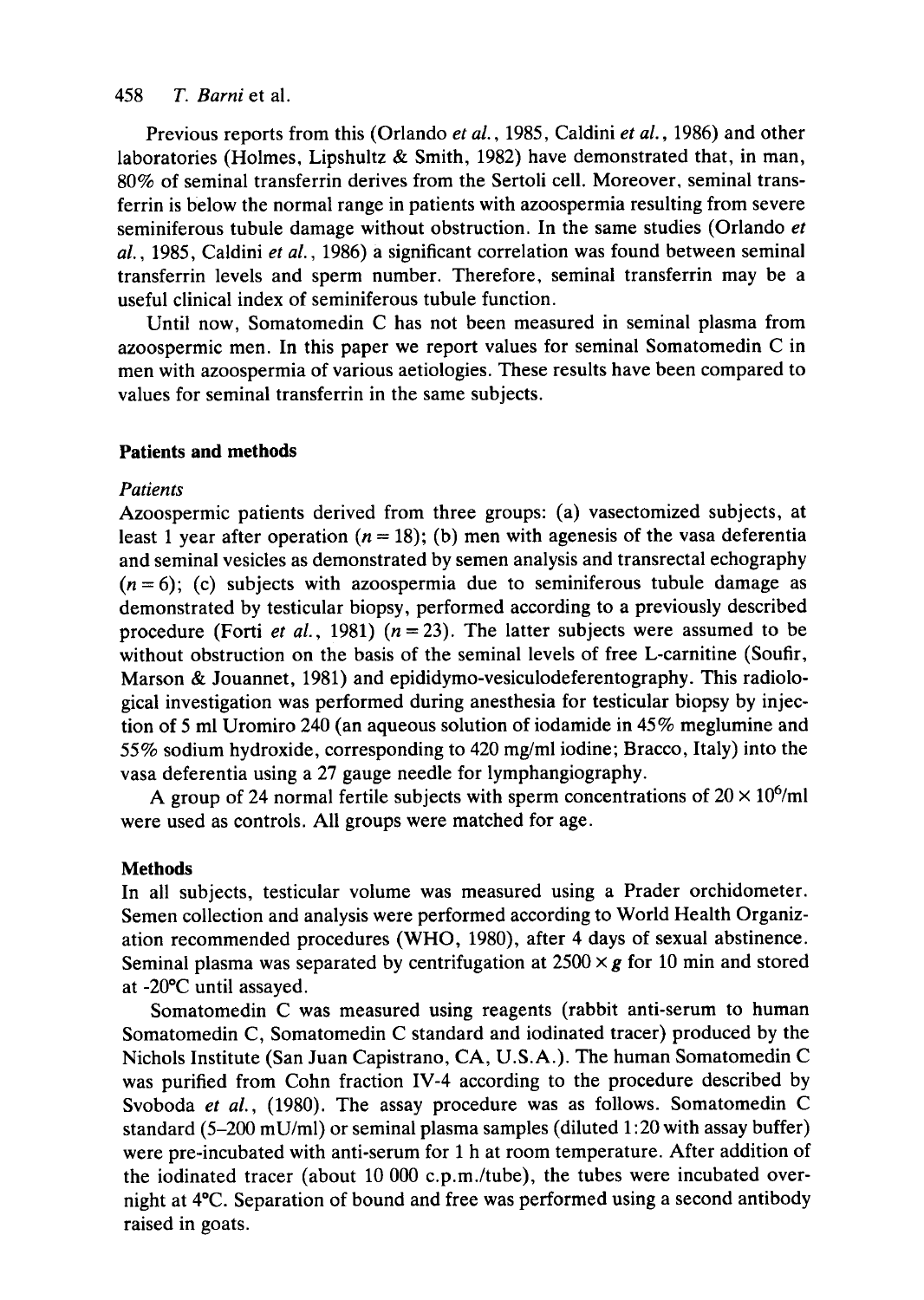# 458 *T. Barni* et al.

Previous reports from this (Orlando *et al.,* 1985, Caldini *et al.,* 1986) and other laboratories (Holmes, Lipshultz & Smith, 1982) have demonstrated that, in man, 80% of seminal transferrin derives from the Sertoli cell. Moreover, seminal transferrin is below the normal range in patients with azoospermia resulting from severe seminiferous tubule damage without obstruction. In the same studies (Orlando *et al.,* 1985, Caldini *et al.,* 1986) a significant correlation was found between seminal transferrin levels and sperm number. Therefore, seminal transferrin may be a useful clinical index of seminiferous tubule function.

Until now, Somatomedin C has not been measured in seminal plasma from azoospermic men. In this paper we report values for seminal Somatomedin C in men with azoospermia of various aetiologies. These results have been compared to values for seminal transferrin in the same subjects.

# **Patients and methods**

## *Patients*

Azoospermic patients derived from three groups: (a) vasectomized subjects, at least 1 year after operation  $(n = 18)$ ; (b) men with agenesis of the vasa deferentia and seminal vesicles as demonstrated by semen analysis and transrectal echography  $(n=6)$ ; (c) subjects with azoospermia due to seminiferous tubule damage as demonstrated by testicular biopsy, performed according to a previously described procedure (Forti *et al.*, 1981)  $(n=23)$ . The latter subjects were assumed to be without obstruction on the basis of the seminal levels of free L-carnitine (Soufir, Marson & Jouannet, 1981) and **epididymo-vesiculodeferentography.** This radiological investigation was performed during anesthesia for testicular biopsy by injection of 5 ml Uromiro 240 (an aqueous solution of iodamide in 45% meglumine and 55% sodium hydroxide, corresponding to 420 mg/ml iodine; Bracco, Italy) into the vasa deferentia using a 27 gauge needle for lymphangiography.

A group of 24 normal fertile subjects with sperm concentrations of  $20 \times 10^6$ /ml were used as controls. All groups were matched for age.

## **Methods**

In all subjects, testicular volume was measured using a Prader orchidometer. Semen collection and analysis were performed according to World Health Organization recommended procedures (WHO, 1980), after **4** days of sexual abstinence. Seminal plasma was separated by centrifugation at  $2500 \times g$  for 10 min and stored at -20°C until assayed.

Somatomedin C was measured using reagents (rabbit anti-serum to human Somatomedin C, Somatomedin C standard and iodinated tracer) produced by the Nichols Institute (San Juan Capistrano, CA, U.S.A.). The human Somatomedin C was purified from Cohn fraction IV-4 according to the procedure described by Svoboda *et al.,* (1980). The assay procedure was as follows. Somatomedin C standard (5-200 mU/ml) or seminal plasma samples (diluted 1:20 with assay buffer) were pre-incubated with anti-serum for 1 h at room temperature. After addition of the iodinated tracer (about 10 000 c.p.m./tube), the tubes were incubated overnight at 4°C. Separation of bound and free was performed using a second antibody raised in goats.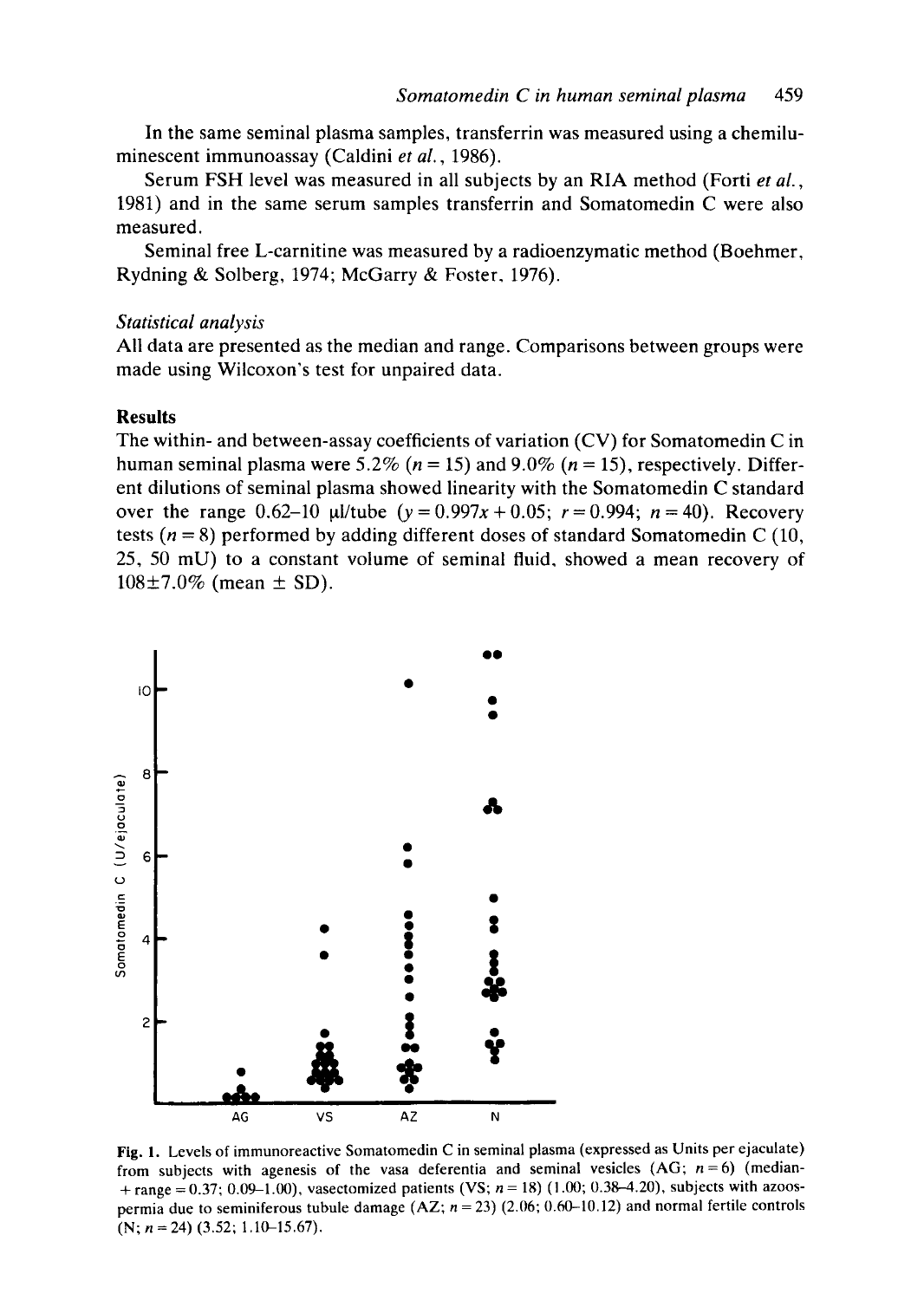In the same seminal plasma samples, transferrin was measured using a chemiluminescent immunoassay (Caldini *ef al.,* 1986).

Serum FSH level was measured in all subjects by an RIA method (Forti *ef al.,*  1981) and in the same serum samples transferrin and Somatomedin *C* were also measured.

Seminal free L-carnitine was measured by a radioenzymatic method (Boehmer, Rydning & Solberg, 1974; McGarry & Foster, 1976).

#### *Statistical analysis*

All data are presented **as** the median and range. Comparisons between groups were made using Wilcoxon's test for unpaired data.

#### **Results**

The within- and between-assay coefficients of variation (CV) for Somatomedin C in human seminal plasma were 5.2%  $(n = 15)$  and 9.0%  $(n = 15)$ , respectively. Different dilutions of seminal plasma showed linearity with the Somatomedin C standard over the range  $0.62-10 \mu l$  tube  $(y = 0.997x + 0.05; r = 0.994; n = 40)$ . Recovery tests  $(n = 8)$  performed by adding different doses of standard Somatomedin C (10,  $25, 50$  mU) to a constant volume of seminal fluid, showed a mean recovery of  $108 \pm 7.0\%$  (mean  $\pm$  SD).



**Fig. 1. Levels of immunoreactive Somatomedin C in seminal plasma (expressed as Units per ejaculate)**  from subjects with agenesis of the vasa deferentia and seminal vesicles  $(AG; n=6)$  (median- $+$  **range** = 0.37; 0.09–1.00), vasectomized patients (VS;  $n = 18$ ) (1.00; 0.38–4.20), subjects with azoos**permia due to seminiferous tubule damage (AZ;** *n* = **23) (2.06; 0.60-10.12) and normal fertile controls**   $(N; n = 24)$  (3.52; 1.10–15.67).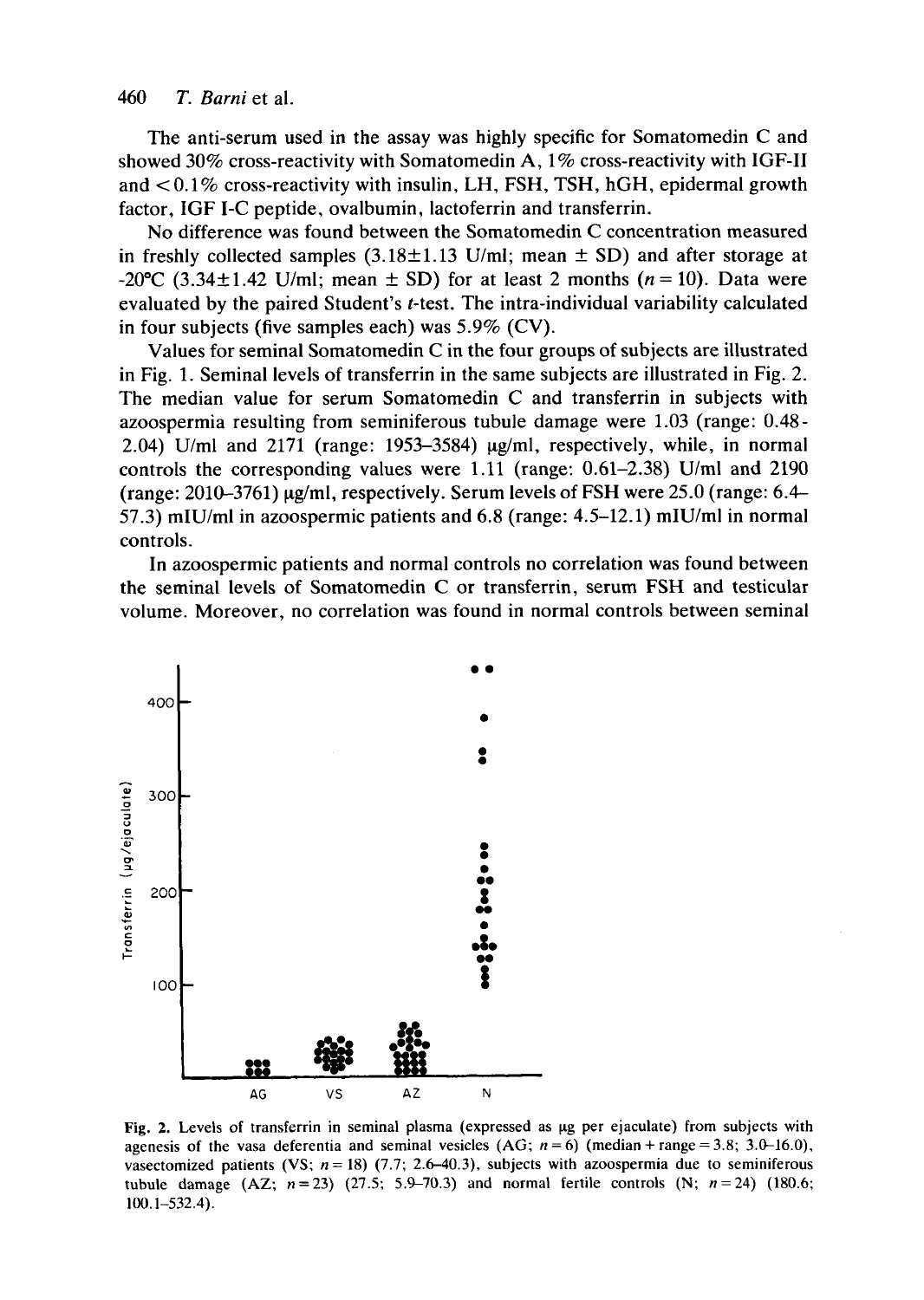## 460 T. *Barni* et al.

The anti-serum used in the assay was highly specific for Somatomedin C and showed 30% cross-reactivity with Somatomedin A,  $1\%$  cross-reactivity with IGF-II and < 0.1% cross-reactivity with insulin, LH, FSH, TSH, hGH, epidermal growth factor, IGF I-C peptide, ovalbumin, lactoferrin and transferrin.

No difference was found between the Somatomedin C concentration measured in freshly collected samples  $(3.18\pm1.13 \text{ U/ml})$ ; mean  $\pm$  SD) and after storage at -20°C (3.34 $\pm$ 1.42 U/ml; mean  $\pm$  SD) for at least 2 months (n = 10). Data were evaluated by the paired Student's t-test. The intra-individual variability calculated in four subjects (five samples each) was 5.9% (CV).

Values for seminal Somatomedin C in the four groups of subjects are illustrated in Fig. 1. Seminal levels of transferrin in the same subjects are illustrated in Fig. 2. The median value for serum Somatomedin C and transferrin in subjects with azoospermia resulting from seminiferous tubule damage were 1.03 (range: 0.48 - 2.04) U/ml and 2171 (range:  $1953-3584$ )  $\mu$ g/ml, respectively, while, in normal controls the corresponding values were 1.11 (range: 0.61-2.38) U/ml and 2190 (range:  $2010-3761$ )  $\mu$ g/ml, respectively. Serum levels of FSH were 25.0 (range: 6.4-57.3) mIU/ml in azoospermic patients and 6.8 (range: 4.5-12.1) mIU/ml in normal controls.

In azoospermic patients and normal controls no correlation was found between the seminal levels of Somatomedin C or transferrin, serum FSH and testicular volume. Moreover, no correlation was found in normal controls between seminal



**Fig. 2. Levels of transferrin in seminal plasma (expressed as pg per ejaculate) from subjects with**  agenesis of the vasa deferentia and seminal vesicles  $(AG; n = 6)$  (median + range = 3.8; 3.0–16.0), vasectomized patients (VS;  $n = 18$ ) (7.7; 2.6–40.3), subjects with azoospermia due to seminiferous **tubule damage (AZ;**  $n=23$ **) (27.5; 5.9–70.3) and normal fertile controls (N;**  $n=24$ **) (180.6; 10.1-532.4).**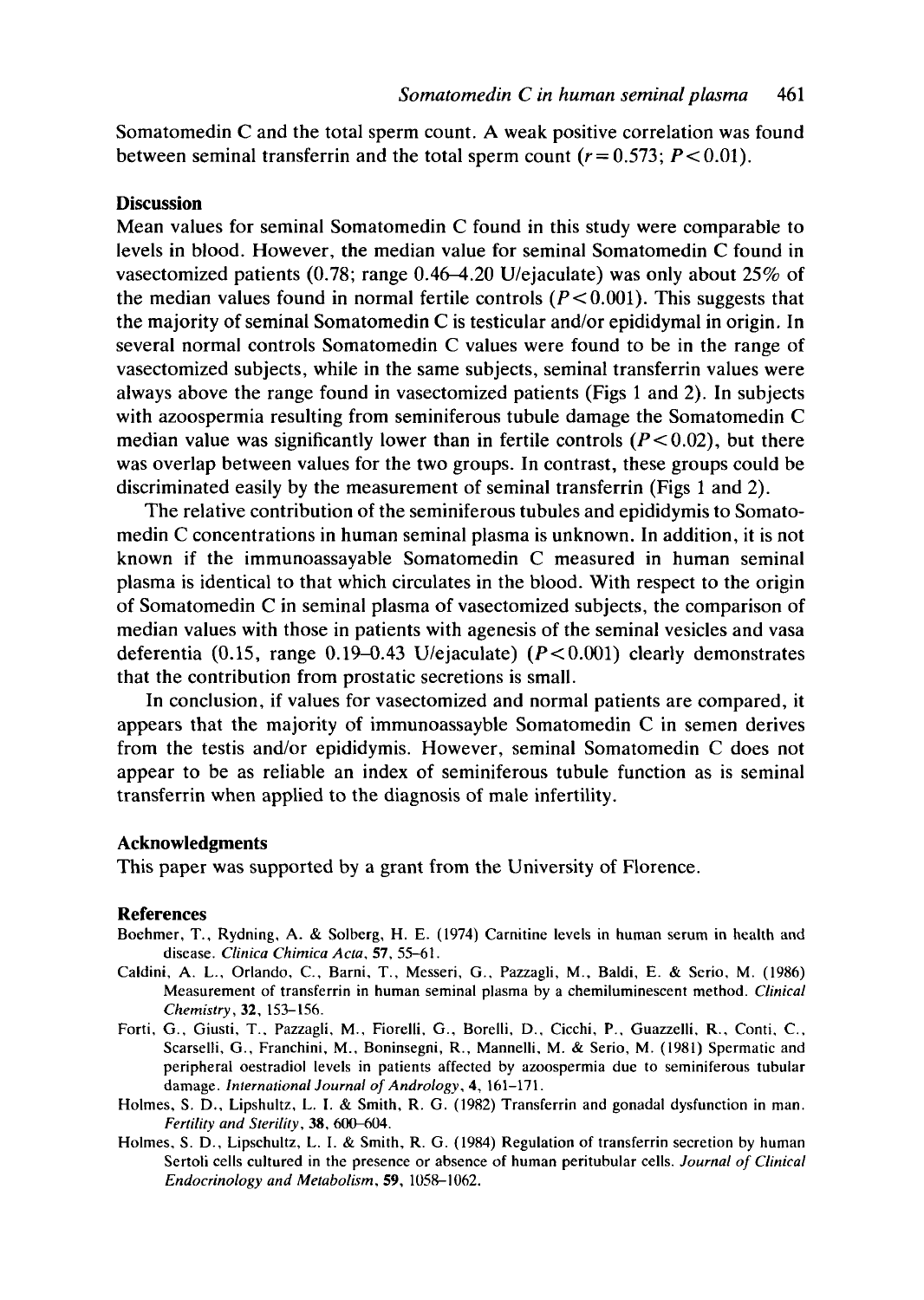Somatomedin C and the total sperm count. **A** weak positive correlation was found between seminal transferrin and the total sperm count  $(r = 0.573; P < 0.01)$ .

#### **Discussion**

Mean values for seminal Somatomedin C found in this study were comparable to levels in blood. However, the median value for seminal Somatomedin C found in vasectomized patients (0.78; range 0.46-4.20 U/ejaculate) was only about 25% of the median values found in normal fertile controls  $(P < 0.001)$ . This suggests that the majority of seminal Somatomedin C is testicular and/or epididymal in origin, In several normal controls Somatomedin C values were found to be in the range of vasectomized subjects, while in the same subjects, seminal transferrin values were always above the range found in vasectomized patients (Figs 1 and 2). In subjects with azoospermia resulting from seminiferous tubule damage the Somatomedin C median value was significantly lower than in fertile controls  $(P< 0.02)$ , but there was overlap between values for the two groups. In contrast, these groups could be discriminated easily by the measurement of seminal transferrin (Figs 1 and 2).

The relative contribution of the seminiferous tubules and epididymis to Somatomedin C concentrations in human seminal plasma is unknown. In addition, it is not known if the immunoassayable Somatomedin C measured in human seminal plasma is identical to that which circulates in the blood. With respect to the origin of Somatomedin C in seminal plasma of vasectomized subjects, the comparison of median values with those in patients with agenesis of the seminal vesicles and vasa deferentia (0.15, range 0.19-0.43 U/ejaculate) ( $P < 0.001$ ) clearly demonstrates that the contribution from prostatic secretions is small.

In conclusion, if values for vasectomized and normal patients are compared, it appears that the majority of immunoassayble Somatomedin C in semen derives from the testis and/or epididymis. However, seminal Somatomedin C does not appear to be as reliable an index of seminiferous tubule function as is seminal transferrin when applied to the diagnosis of male infertility.

## **Acknowledgments**

This paper was supported by a grant from the University of Florence.

#### **References**

- Boehmer, T., Rydning. **A.** & Solberg, H. E. (1974) Carnitine levels in human serum in health and disease. *CIinica Chimica Acta. 57,* 55-61.
- Caldini, **A.** L., Orlando, C., Barni, T., Messeri, G., Pazzagli, M., Baldi, E. & Serio. M. (1986) Measurement of transferrin in human seminal plasma by a chemiluminescent method. *Clinical Chemistry,* 32, 153-156.
- Forti, G., Giusti, T.. Pazzagli, M., Fiorelli, G., Borelli, D.. Cicchi, P., Guazzelli, R., Conti. C., Scarselli, G., Franchini, M., Boninsegni, R., Mannelli, M. & Serio, M. (1981) Spermatic and peripheral oestradiol levels in patients affected by azoospermia due to seminiferous tubular damage. *International Journal* of *Andrology,* **4,** 161-171.
- Holmes, S. D., Lipshultz, L. **1.** & Smith, R. G. (1982) Transferrin and gonadal dysfunction in man. *Fertility and Sterility, 38, 600-604.*
- Holmes. S. D., Lipschultz, L. I. & Smith, R. G. (1984) Regulation of transferrin secretion **by** human Sertoli cells cultured in the presence or absence of human peritubular cells. *Journal* of *Clinical Endocrinology and Metabolism, 59,* 1058-1062.